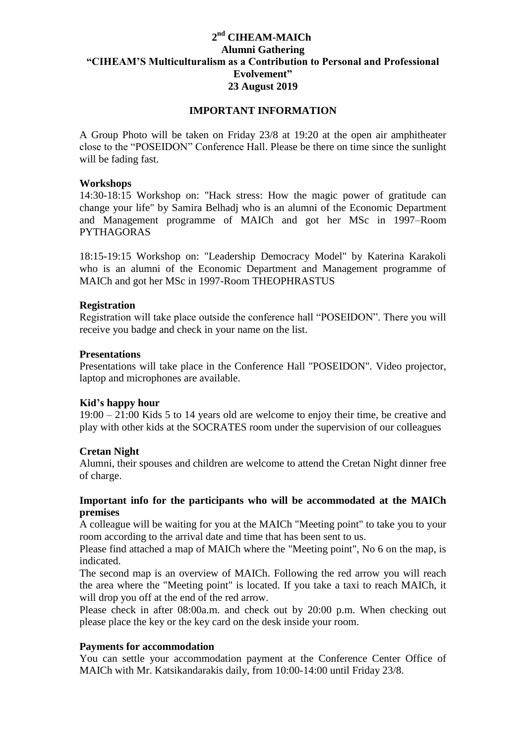# **2 nd CIHEAM-MAICh Alumni Gathering "CIHEAM'S Multiculturalism as a Contribution to Personal and Professional Evolvement" 23 August 2019**

## **IMPORTANT INFORMATION**

A Group Photo will be taken on Friday 23/8 at 19:20 at the open air amphitheater close to the "POSEIDON" Conference Hall. Please be there on time since the sunlight will be fading fast.

#### **Workshops**

14:30-18:15 Workshop on: "Hack stress: How the magic power of gratitude can change your life" by Samira Belhadj who is an alumni of the Economic Department and Management programme of MAICh and got her MSc in 1997–Room PYTHAGORAS

18:15-19:15 Workshop on: "Leadership Democracy Model" by Katerina Karakoli who is an alumni of the Economic Department and Management programme of MAICh and got her MSc in 1997-Room THEOPHRASTUS

#### **Registration**

Registration will take place outside the conference hall "POSEIDON". There you will receive you badge and check in your name on the list.

#### **Presentations**

Presentations will take place in the Conference Hall "POSEIDON". Video projector, laptop and microphones are available.

## **Kid's happy hour**

19:00 – 21:00 Kids 5 to 14 years old are welcome to enjoy their time, be creative and play with other kids at the SOCRATES room under the supervision of our colleagues

## **Cretan Night**

Alumni, their spouses and children are welcome to attend the Cretan Night dinner free of charge.

## **Important info for the participants who will be accommodated at the MAICh premises**

A colleague will be waiting for you at the MAICh "Meeting point" to take you to your room according to the arrival date and time that has been sent to us.

Please find attached a map of MAICh where the "Meeting point", No 6 on the map, is indicated.

The second map is an overview of MAICh. Following the red arrow you will reach the area where the "Meeting point" is located. If you take a taxi to reach MAICh, it will drop you off at the end of the red arrow.

Please check in after 08:00a.m. and check out by 20:00 p.m. When checking out please place the key or the key card on the desk inside your room.

## **Payments for accommodation**

You can settle your accommodation payment at the Conference Center Office of MAICh with Mr. Katsikandarakis daily, from 10:00-14:00 until Friday 23/8.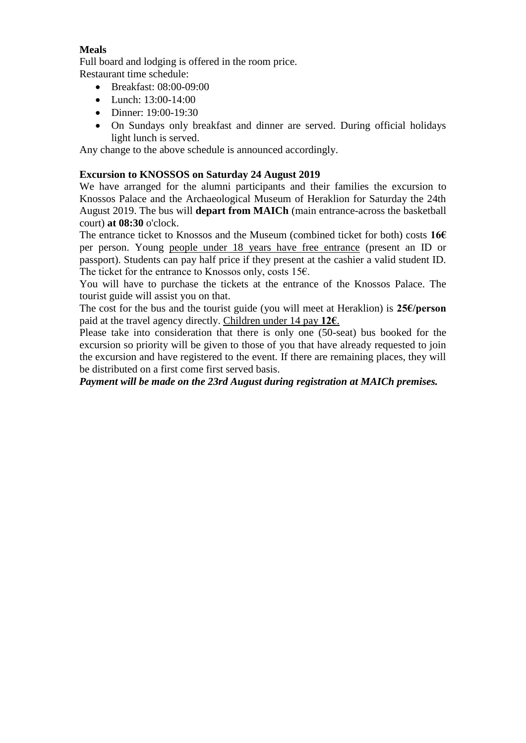# **Meals**

Full board and lodging is offered in the room price. Restaurant time schedule:

- Breakfast: 08:00-09:00
- Lunch: 13:00-14:00
- Dinner: 19:00-19:30
- On Sundays only breakfast and dinner are served. During official holidays light lunch is served.

Any change to the above schedule is announced accordingly.

# **Excursion to KNOSSOS on Saturday 24 August 2019**

We have arranged for the alumni participants and their families the excursion to Knossos Palace and the Archaeological Museum of Heraklion for Saturday the 24th August 2019. The bus will **depart from MAICh** (main entrance-across the basketball court) **at 08:30** o'clock.

The entrance ticket to Knossos and the Museum (combined ticket for both) costs **16€** per person. Young people under 18 years have free entrance (present an ID or passport). Students can pay half price if they present at the cashier a valid student ID. The ticket for the entrance to Knossos only, costs 15€.

You will have to purchase the tickets at the entrance of the Knossos Palace. The tourist guide will assist you on that.

The cost for the bus and the tourist guide (you will meet at Heraklion) is **25€/person**  paid at the travel agency directly. Children under 14 pay **12€**.

Please take into consideration that there is only one (50-seat) bus booked for the excursion so priority will be given to those of you that have already requested to join the excursion and have registered to the event. If there are remaining places, they will be distributed on a first come first served basis.

*Payment will be made on the 23rd August during registration at MAICh premises.*